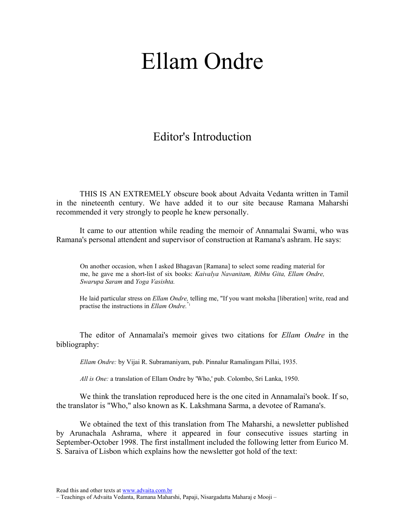# Ellam Ondre

#### Editor's Introduction

THIS IS AN EXTREMELY obscure book about Advaita Vedanta written in Tamil in the nineteenth century. We have added it to our site because Ramana Maharshi recommended it very strongly to people he knew personally.

It came to our attention while reading the memoir of Annamalai Swami, who was Ramana's personal attendent and supervisor of construction at Ramana's ashram. He says:

On another occasion, when I asked Bhagavan [Ramana] to select some reading material for me, he gave me a short-list of six books: Kaivalya Navanitam, Ribhu Gita, Ellam Ondre, Swarupa Saram and Yoga Vasishta.

He laid particular stress on *Ellam Ondre*, telling me, "If you want moksha [liberation] write, read and practise the instructions in Ellam Ondre.<sup>"1</sup>

The editor of Annamalai's memoir gives two citations for Ellam Ondre in the bibliography:

Ellam Ondre: by Vijai R. Subramaniyam, pub. Pinnalur Ramalingam Pillai, 1935.

All is One: a translation of Ellam Ondre by 'Who,' pub. Colombo, Sri Lanka, 1950.

We think the translation reproduced here is the one cited in Annamalai's book. If so, the translator is "Who," also known as K. Lakshmana Sarma, a devotee of Ramana's.

We obtained the text of this translation from The Maharshi, a newsletter published by Arunachala Ashrama, where it appeared in four consecutive issues starting in September-October 1998. The first installment included the following letter from Eurico M. S. Saraiva of Lisbon which explains how the newsletter got hold of the text:

<sup>–</sup> Teachings of Advaita Vedanta, Ramana Maharshi, Papaji, Nisargadatta Maharaj e Mooji –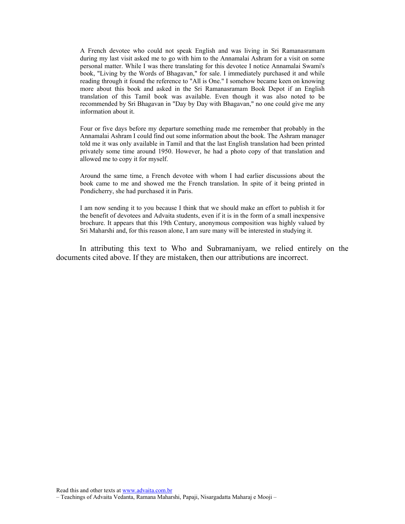A French devotee who could not speak English and was living in Sri Ramanasramam during my last visit asked me to go with him to the Annamalai Ashram for a visit on some personal matter. While I was there translating for this devotee I notice Annamalai Swami's book, "Living by the Words of Bhagavan," for sale. I immediately purchased it and while reading through it found the reference to "All is One." I somehow became keen on knowing more about this book and asked in the Sri Ramanasramam Book Depot if an English translation of this Tamil book was available. Even though it was also noted to be recommended by Sri Bhagavan in "Day by Day with Bhagavan," no one could give me any information about it.

Four or five days before my departure something made me remember that probably in the Annamalai Ashram I could find out some information about the book. The Ashram manager told me it was only available in Tamil and that the last English translation had been printed privately some time around 1950. However, he had a photo copy of that translation and allowed me to copy it for myself.

Around the same time, a French devotee with whom I had earlier discussions about the book came to me and showed me the French translation. In spite of it being printed in Pondicherry, she had purchased it in Paris.

I am now sending it to you because I think that we should make an effort to publish it for the benefit of devotees and Advaita students, even if it is in the form of a small inexpensive brochure. It appears that this 19th Century, anonymous composition was highly valued by Sri Maharshi and, for this reason alone, I am sure many will be interested in studying it.

In attributing this text to Who and Subramaniyam, we relied entirely on the documents cited above. If they are mistaken, then our attributions are incorrect.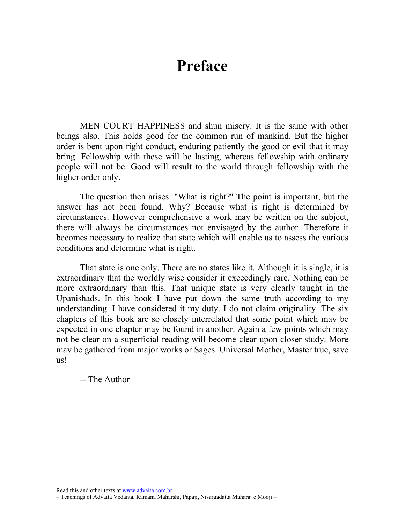#### Preface

MEN COURT HAPPINESS and shun misery. It is the same with other beings also. This holds good for the common run of mankind. But the higher order is bent upon right conduct, enduring patiently the good or evil that it may bring. Fellowship with these will be lasting, whereas fellowship with ordinary people will not be. Good will result to the world through fellowship with the higher order only.

The question then arises: "What is right?'' The point is important, but the answer has not been found. Why? Because what is right is determined by circumstances. However comprehensive a work may be written on the subject, there will always be circumstances not envisaged by the author. Therefore it becomes necessary to realize that state which will enable us to assess the various conditions and determine what is right.

That state is one only. There are no states like it. Although it is single, it is extraordinary that the worldly wise consider it exceedingly rare. Nothing can be more extraordinary than this. That unique state is very clearly taught in the Upanishads. In this book I have put down the same truth according to my understanding. I have considered it my duty. I do not claim originality. The six chapters of this book are so closely interrelated that some point which may be expected in one chapter may be found in another. Again a few points which may not be clear on a superficial reading will become clear upon closer study. More may be gathered from major works or Sages. Universal Mother, Master true, save us!

-- The Author

Read this and other texts at www.advaita.com.br

– Teachings of Advaita Vedanta, Ramana Maharshi, Papaji, Nisargadatta Maharaj e Mooji –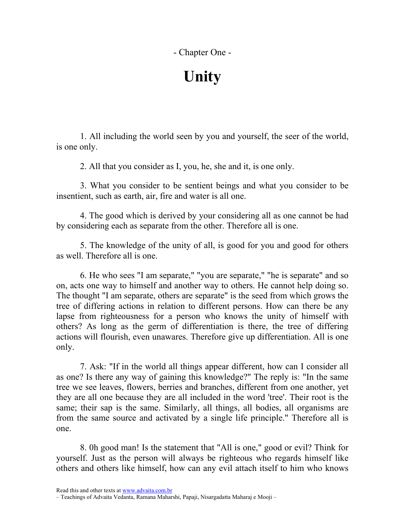- Chapter One -

# Unity

1. All including the world seen by you and yourself, the seer of the world, is one only.

2. All that you consider as I, you, he, she and it, is one only.

3. What you consider to be sentient beings and what you consider to be insentient, such as earth, air, fire and water is all one.

4. The good which is derived by your considering all as one cannot be had by considering each as separate from the other. Therefore all is one.

5. The knowledge of the unity of all, is good for you and good for others as well. Therefore all is one.

6. He who sees "I am separate," "you are separate," "he is separate" and so on, acts one way to himself and another way to others. He cannot help doing so. The thought "I am separate, others are separate" is the seed from which grows the tree of differing actions in relation to different persons. How can there be any lapse from righteousness for a person who knows the unity of himself with others? As long as the germ of differentiation is there, the tree of differing actions will flourish, even unawares. Therefore give up differentiation. All is one only.

7. Ask: "If in the world all things appear different, how can I consider all as one? Is there any way of gaining this knowledge?" The reply is: "In the same tree we see leaves, flowers, berries and branches, different from one another, yet they are all one because they are all included in the word 'tree'. Their root is the same; their sap is the same. Similarly, all things, all bodies, all organisms are from the same source and activated by a single life principle." Therefore all is one.

8. 0h good man! Is the statement that "All is one," good or evil? Think for yourself. Just as the person will always be righteous who regards himself like others and others like himself, how can any evil attach itself to him who knows

<sup>–</sup> Teachings of Advaita Vedanta, Ramana Maharshi, Papaji, Nisargadatta Maharaj e Mooji –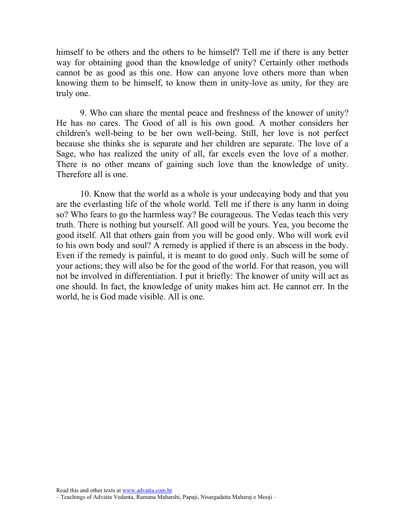himself to be others and the others to be himself? Tell me if there is any better way for obtaining good than the knowledge of unity? Certainly other methods cannot be as good as this one. How can anyone love others more than when knowing them to be himself, to know them in unity-love as unity, for they are truly one.

9. Who can share the mental peace and freshness of the knower of unity? He has no cares. The Good of all is his own good. A mother considers her children's well-being to be her own well-being. Still, her love is not perfect because she thinks she is separate and her children are separate. The love of a Sage, who has realized the unity of all, far excels even the love of a mother. There is no other means of gaining such love than the knowledge of unity. Therefore all is one.

10. Know that the world as a whole is your undecaying body and that you are the everlasting life of the whole world. Tell me if there is any harm in doing so? Who fears to go the harmless way? Be courageous. The Vedas teach this very truth. There is nothing but yourself. All good will be yours. Yea, you become the good itself. All that others gain from you will be good only. Who will work evil to his own body and soul? A remedy is applied if there is an abscess in the body. Even if the remedy is painful, it is meant to do good only. Such will be some of your actions; they will also be for the good of the world. For that reason, you will not be involved in differentiation. I put it briefly: The knower of unity will act as one should. In fact, the knowledge of unity makes him act. He cannot err. In the world, he is God made visible. All is one.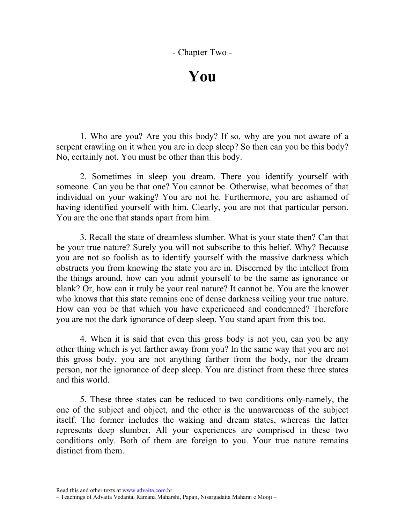- Chapter Two -

## You

1. Who are you? Are you this body? If so, why are you not aware of a serpent crawling on it when you are in deep sleep? So then can you be this body? No, certainly not. You must be other than this body.

2. Sometimes in sleep you dream. There you identify yourself with someone. Can you be that one? You cannot be. Otherwise, what becomes of that individual on your waking? You are not he. Furthermore, you are ashamed of having identified yourself with him. Clearly, you are not that particular person. You are the one that stands apart from him.

3. Recall the state of dreamless slumber. What is your state then? Can that be your true nature? Surely you will not subscribe to this belief. Why? Because you are not so foolish as to identify yourself with the massive darkness which obstructs you from knowing the state you are in. Discerned by the intellect from the things around, how can you admit yourself to be the same as ignorance or blank? Or, how can it truly be your real nature? It cannot be. You are the knower who knows that this state remains one of dense darkness veiling your true nature. How can you be that which you have experienced and condemned? Therefore you are not the dark ignorance of deep sleep. You stand apart from this too.

4. When it is said that even this gross body is not you, can you be any other thing which is yet farther away from you? In the same way that you are not this gross body, you are not anything farther from the body, nor the dream person, nor the ignorance of deep sleep. You are distinct from these three states and this world.

5. These three states can be reduced to two conditions only-namely, the one of the subject and object, and the other is the unawareness of the subject itself. The former includes the waking and dream states, whereas the latter represents deep slumber. All your experiences are comprised in these two conditions only. Both of them are foreign to you. Your true nature remains distinct from them.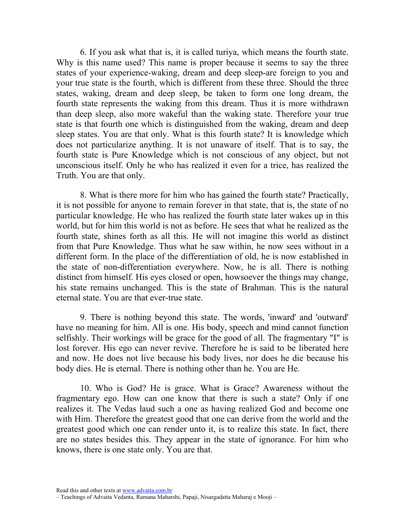6. If you ask what that is, it is called turiya, which means the fourth state. Why is this name used? This name is proper because it seems to say the three states of your experience-waking, dream and deep sleep-are foreign to you and your true state is the fourth, which is different from these three. Should the three states, waking, dream and deep sleep, be taken to form one long dream, the fourth state represents the waking from this dream. Thus it is more withdrawn than deep sleep, also more wakeful than the waking state. Therefore your true state is that fourth one which is distinguished from the waking, dream and deep sleep states. You are that only. What is this fourth state? It is knowledge which does not particularize anything. It is not unaware of itself. That is to say, the fourth state is Pure Knowledge which is not conscious of any object, but not unconscious itself. Only he who has realized it even for a trice, has realized the Truth. You are that only.

8. What is there more for him who has gained the fourth state? Practically, it is not possible for anyone to remain forever in that state, that is, the state of no particular knowledge. He who has realized the fourth state later wakes up in this world, but for him this world is not as before. He sees that what he realized as the fourth state, shines forth as all this. He will not imagine this world as distinct from that Pure Knowledge. Thus what he saw within, he now sees without in a different form. In the place of the differentiation of old, he is now established in the state of non-differentiation everywhere. Now, he is all. There is nothing distinct from himself. His eyes closed or open, howsoever the things may change, his state remains unchanged. This is the state of Brahman. This is the natural eternal state. You are that ever-true state.

9. There is nothing beyond this state. The words, 'inward' and 'outward' have no meaning for him. All is one. His body, speech and mind cannot function selfishly. Their workings will be grace for the good of all. The fragmentary "I" is lost forever. His ego can never revive. Therefore he is said to be liberated here and now. He does not live because his body lives, nor does he die because his body dies. He is eternal. There is nothing other than he. You are He.

10. Who is God? He is grace. What is Grace? Awareness without the fragmentary ego. How can one know that there is such a state? Only if one realizes it. The Vedas laud such a one as having realized God and become one with Him. Therefore the greatest good that one can derive from the world and the greatest good which one can render unto it, is to realize this state. In fact, there are no states besides this. They appear in the state of ignorance. For him who knows, there is one state only. You are that.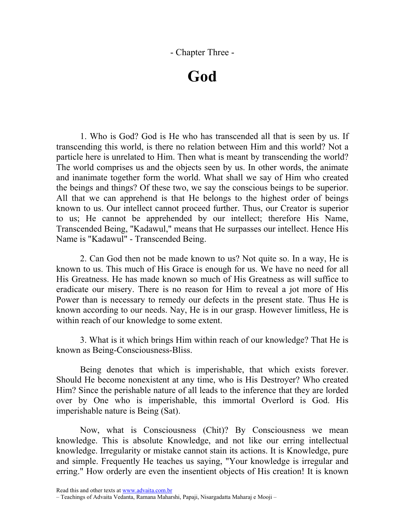- Chapter Three -

## God

1. Who is God? God is He who has transcended all that is seen by us. If transcending this world, is there no relation between Him and this world? Not a particle here is unrelated to Him. Then what is meant by transcending the world? The world comprises us and the objects seen by us. In other words, the animate and inanimate together form the world. What shall we say of Him who created the beings and things? Of these two, we say the conscious beings to be superior. All that we can apprehend is that He belongs to the highest order of beings known to us. Our intellect cannot proceed further. Thus, our Creator is superior to us; He cannot be apprehended by our intellect; therefore His Name, Transcended Being, "Kadawul," means that He surpasses our intellect. Hence His Name is "Kadawul" - Transcended Being.

2. Can God then not be made known to us? Not quite so. In a way, He is known to us. This much of His Grace is enough for us. We have no need for all His Greatness. He has made known so much of His Greatness as will suffice to eradicate our misery. There is no reason for Him to reveal a jot more of His Power than is necessary to remedy our defects in the present state. Thus He is known according to our needs. Nay, He is in our grasp. However limitless, He is within reach of our knowledge to some extent.

3. What is it which brings Him within reach of our knowledge? That He is known as Being-Consciousness-Bliss.

Being denotes that which is imperishable, that which exists forever. Should He become nonexistent at any time, who is His Destroyer? Who created Him? Since the perishable nature of all leads to the inference that they are lorded over by One who is imperishable, this immortal Overlord is God. His imperishable nature is Being (Sat).

Now, what is Consciousness (Chit)? By Consciousness we mean knowledge. This is absolute Knowledge, and not like our erring intellectual knowledge. Irregularity or mistake cannot stain its actions. It is Knowledge, pure and simple. Frequently He teaches us saying, "Your knowledge is irregular and erring." How orderly are even the insentient objects of His creation! It is known

<sup>–</sup> Teachings of Advaita Vedanta, Ramana Maharshi, Papaji, Nisargadatta Maharaj e Mooji –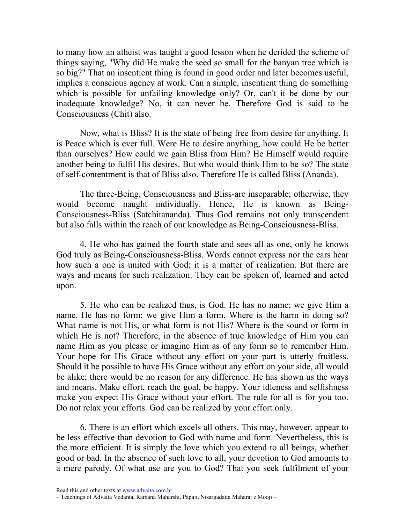to many how an atheist was taught a good lesson when he derided the scheme of things saying, "Why did He make the seed so small for the banyan tree which is so big?" That an insentient thing is found in good order and later becomes useful, implies a conscious agency at work. Can a simple, insentient thing do something which is possible for unfailing knowledge only? Or, can't it be done by our inadequate knowledge? No, it can never be. Therefore God is said to be Consciousness (Chit) also.

Now, what is Bliss? It is the state of being free from desire for anything. It is Peace which is ever full. Were He to desire anything, how could He be better than ourselves? How could we gain Bliss from Him? He Himself would require another being to fulfil His desires. But who would think Him to be so? The state of self-contentment is that of Bliss also. Therefore He is called Bliss (Ananda).

The three-Being, Consciousness and Bliss-are inseparable; otherwise, they would become naught individually. Hence, He is known as Being-Consciousness-Bliss (Satchitananda). Thus God remains not only transcendent but also falls within the reach of our knowledge as Being-Consciousness-Bliss.

4. He who has gained the fourth state and sees all as one, only he knows God truly as Being-Consciousness-Bliss. Words cannot express nor the ears hear how such a one is united with God; it is a matter of realization. But there are ways and means for such realization. They can be spoken of, learned and acted upon.

5. He who can be realized thus, is God. He has no name; we give Him a name. He has no form; we give Him a form. Where is the harm in doing so? What name is not His, or what form is not His? Where is the sound or form in which He is not? Therefore, in the absence of true knowledge of Him you can name Him as you please or imagine Him as of any form so to remember Him. Your hope for His Grace without any effort on your part is utterly fruitless. Should it be possible to have His Grace without any effort on your side, all would be alike; there would be no reason for any difference. He has shown us the ways and means. Make effort, reach the goal, be happy. Your idleness and selfishness make you expect His Grace without your effort. The rule for all is for you too. Do not relax your efforts. God can be realized by your effort only.

6. There is an effort which excels all others. This may, however, appear to be less effective than devotion to God with name and form. Nevertheless, this is the more efficient. It is simply the love which you extend to all beings, whether good or bad. In the absence of such love to all, your devotion to God amounts to a mere parody. Of what use are you to God? That you seek fulfilment of your

<sup>–</sup> Teachings of Advaita Vedanta, Ramana Maharshi, Papaji, Nisargadatta Maharaj e Mooji –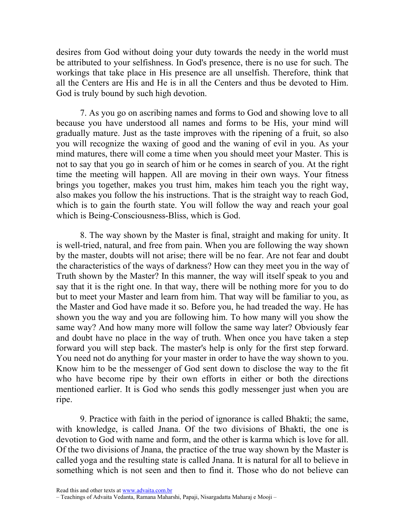desires from God without doing your duty towards the needy in the world must be attributed to your selfishness. In God's presence, there is no use for such. The workings that take place in His presence are all unselfish. Therefore, think that all the Centers are His and He is in all the Centers and thus be devoted to Him. God is truly bound by such high devotion.

7. As you go on ascribing names and forms to God and showing love to all because you have understood all names and forms to be His, your mind will gradually mature. Just as the taste improves with the ripening of a fruit, so also you will recognize the waxing of good and the waning of evil in you. As your mind matures, there will come a time when you should meet your Master. This is not to say that you go in search of him or he comes in search of you. At the right time the meeting will happen. All are moving in their own ways. Your fitness brings you together, makes you trust him, makes him teach you the right way, also makes you follow the his instructions. That is the straight way to reach God, which is to gain the fourth state. You will follow the way and reach your goal which is Being-Consciousness-Bliss, which is God.

8. The way shown by the Master is final, straight and making for unity. It is well-tried, natural, and free from pain. When you are following the way shown by the master, doubts will not arise; there will be no fear. Are not fear and doubt the characteristics of the ways of darkness? How can they meet you in the way of Truth shown by the Master? In this manner, the way will itself speak to you and say that it is the right one. In that way, there will be nothing more for you to do but to meet your Master and learn from him. That way will be familiar to you, as the Master and God have made it so. Before you, he had treaded the way. He has shown you the way and you are following him. To how many will you show the same way? And how many more will follow the same way later? Obviously fear and doubt have no place in the way of truth. When once you have taken a step forward you will step back. The master's help is only for the first step forward. You need not do anything for your master in order to have the way shown to you. Know him to be the messenger of God sent down to disclose the way to the fit who have become ripe by their own efforts in either or both the directions mentioned earlier. It is God who sends this godly messenger just when you are ripe.

9. Practice with faith in the period of ignorance is called Bhakti; the same, with knowledge, is called Jnana. Of the two divisions of Bhakti, the one is devotion to God with name and form, and the other is karma which is love for all. Of the two divisions of Jnana, the practice of the true way shown by the Master is called yoga and the resulting state is called Jnana. It is natural for all to believe in something which is not seen and then to find it. Those who do not believe can

<sup>–</sup> Teachings of Advaita Vedanta, Ramana Maharshi, Papaji, Nisargadatta Maharaj e Mooji –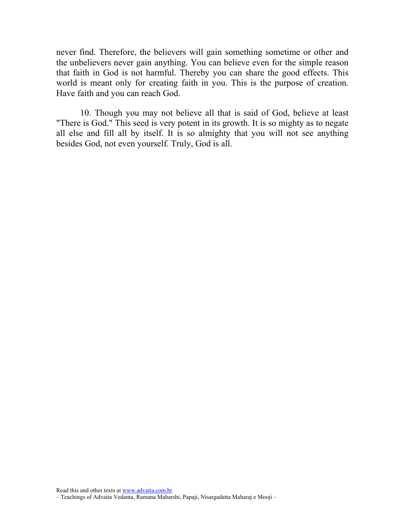never find. Therefore, the believers will gain something sometime or other and the unbelievers never gain anything. You can believe even for the simple reason that faith in God is not harmful. Thereby you can share the good effects. This world is meant only for creating faith in you. This is the purpose of creation. Have faith and you can reach God.

10. Though you may not believe all that is said of God, believe at least "There is God." This seed is very potent in its growth. It is so mighty as to negate all else and fill all by itself. It is so almighty that you will not see anything besides God, not even yourself. Truly, God is all.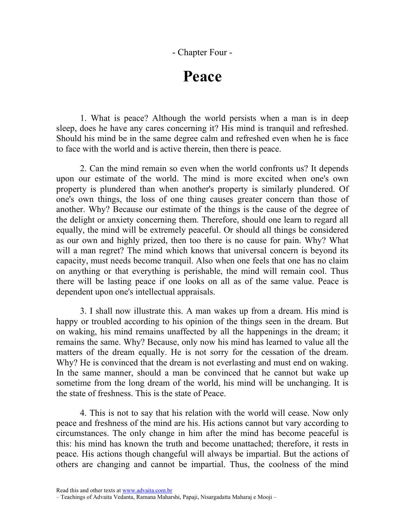- Chapter Four -

#### Peace

1. What is peace? Although the world persists when a man is in deep sleep, does he have any cares concerning it? His mind is tranquil and refreshed. Should his mind be in the same degree calm and refreshed even when he is face to face with the world and is active therein, then there is peace.

2. Can the mind remain so even when the world confronts us? It depends upon our estimate of the world. The mind is more excited when one's own property is plundered than when another's property is similarly plundered. Of one's own things, the loss of one thing causes greater concern than those of another. Why? Because our estimate of the things is the cause of the degree of the delight or anxiety concerning them. Therefore, should one learn to regard all equally, the mind will be extremely peaceful. Or should all things be considered as our own and highly prized, then too there is no cause for pain. Why? What will a man regret? The mind which knows that universal concern is beyond its capacity, must needs become tranquil. Also when one feels that one has no claim on anything or that everything is perishable, the mind will remain cool. Thus there will be lasting peace if one looks on all as of the same value. Peace is dependent upon one's intellectual appraisals.

3. I shall now illustrate this. A man wakes up from a dream. His mind is happy or troubled according to his opinion of the things seen in the dream. But on waking, his mind remains unaffected by all the happenings in the dream; it remains the same. Why? Because, only now his mind has learned to value all the matters of the dream equally. He is not sorry for the cessation of the dream. Why? He is convinced that the dream is not everlasting and must end on waking. In the same manner, should a man be convinced that he cannot but wake up sometime from the long dream of the world, his mind will be unchanging. It is the state of freshness. This is the state of Peace.

4. This is not to say that his relation with the world will cease. Now only peace and freshness of the mind are his. His actions cannot but vary according to circumstances. The only change in him after the mind has become peaceful is this: his mind has known the truth and become unattached; therefore, it rests in peace. His actions though changeful will always be impartial. But the actions of others are changing and cannot be impartial. Thus, the coolness of the mind

<sup>–</sup> Teachings of Advaita Vedanta, Ramana Maharshi, Papaji, Nisargadatta Maharaj e Mooji –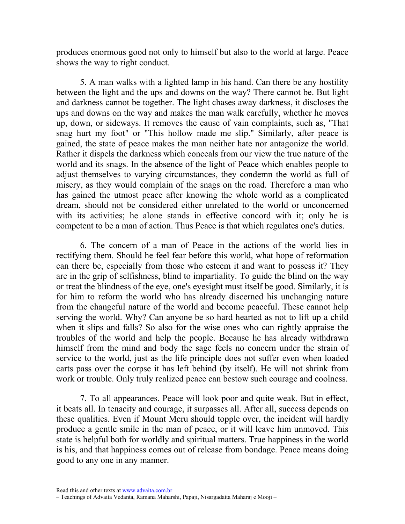produces enormous good not only to himself but also to the world at large. Peace shows the way to right conduct.

5. A man walks with a lighted lamp in his hand. Can there be any hostility between the light and the ups and downs on the way? There cannot be. But light and darkness cannot be together. The light chases away darkness, it discloses the ups and downs on the way and makes the man walk carefully, whether he moves up, down, or sideways. It removes the cause of vain complaints, such as, "That snag hurt my foot" or "This hollow made me slip." Similarly, after peace is gained, the state of peace makes the man neither hate nor antagonize the world. Rather it dispels the darkness which conceals from our view the true nature of the world and its snags. In the absence of the light of Peace which enables people to adjust themselves to varying circumstances, they condemn the world as full of misery, as they would complain of the snags on the road. Therefore a man who has gained the utmost peace after knowing the whole world as a complicated dream, should not be considered either unrelated to the world or unconcerned with its activities; he alone stands in effective concord with it; only he is competent to be a man of action. Thus Peace is that which regulates one's duties.

6. The concern of a man of Peace in the actions of the world lies in rectifying them. Should he feel fear before this world, what hope of reformation can there be, especially from those who esteem it and want to possess it? They are in the grip of selfishness, blind to impartiality. To guide the blind on the way or treat the blindness of the eye, one's eyesight must itself be good. Similarly, it is for him to reform the world who has already discerned his unchanging nature from the changeful nature of the world and become peaceful. These cannot help serving the world. Why? Can anyone be so hard hearted as not to lift up a child when it slips and falls? So also for the wise ones who can rightly appraise the troubles of the world and help the people. Because he has already withdrawn himself from the mind and body the sage feels no concern under the strain of service to the world, just as the life principle does not suffer even when loaded carts pass over the corpse it has left behind (by itself). He will not shrink from work or trouble. Only truly realized peace can bestow such courage and coolness.

7. To all appearances. Peace will look poor and quite weak. But in effect, it beats all. In tenacity and courage, it surpasses all. After all, success depends on these qualities. Even if Mount Meru should topple over, the incident will hardly produce a gentle smile in the man of peace, or it will leave him unmoved. This state is helpful both for worldly and spiritual matters. True happiness in the world is his, and that happiness comes out of release from bondage. Peace means doing good to any one in any manner.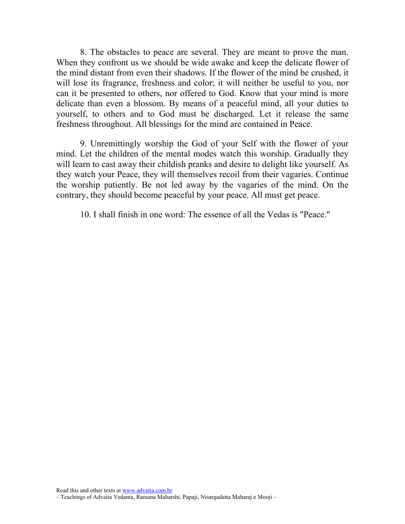8. The obstacles to peace are several. They are meant to prove the man. When they confront us we should be wide awake and keep the delicate flower of the mind distant from even their shadows. If the flower of the mind be crushed, it will lose its fragrance, freshness and color; it will neither be useful to you, nor can it be presented to others, nor offered to God. Know that your mind is more delicate than even a blossom. By means of a peaceful mind, all your duties to yourself, to others and to God must be discharged. Let it release the same freshness throughout. All blessings for the mind are contained in Peace.

9. Unremittingly worship the God of your Self with the flower of your mind. Let the children of the mental modes watch this worship. Gradually they will learn to cast away their childish pranks and desire to delight like yourself. As they watch your Peace, they will themselves recoil from their vagaries. Continue the worship patiently. Be not led away by the vagaries of the mind. On the contrary, they should become peaceful by your peace. All must get peace.

10. I shall finish in one word: The essence of all the Vedas is "Peace."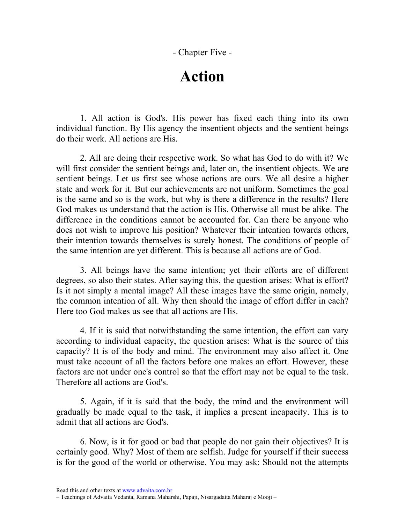- Chapter Five -

#### Action

1. All action is God's. His power has fixed each thing into its own individual function. By His agency the insentient objects and the sentient beings do their work. All actions are His.

2. All are doing their respective work. So what has God to do with it? We will first consider the sentient beings and, later on, the insentient objects. We are sentient beings. Let us first see whose actions are ours. We all desire a higher state and work for it. But our achievements are not uniform. Sometimes the goal is the same and so is the work, but why is there a difference in the results? Here God makes us understand that the action is His. Otherwise all must be alike. The difference in the conditions cannot be accounted for. Can there be anyone who does not wish to improve his position? Whatever their intention towards others, their intention towards themselves is surely honest. The conditions of people of the same intention are yet different. This is because all actions are of God.

3. All beings have the same intention; yet their efforts are of different degrees, so also their states. After saying this, the question arises: What is effort? Is it not simply a mental image? All these images have the same origin, namely, the common intention of all. Why then should the image of effort differ in each? Here too God makes us see that all actions are His.

4. If it is said that notwithstanding the same intention, the effort can vary according to individual capacity, the question arises: What is the source of this capacity? It is of the body and mind. The environment may also affect it. One must take account of all the factors before one makes an effort. However, these factors are not under one's control so that the effort may not be equal to the task. Therefore all actions are God's.

5. Again, if it is said that the body, the mind and the environment will gradually be made equal to the task, it implies a present incapacity. This is to admit that all actions are God's.

6. Now, is it for good or bad that people do not gain their objectives? It is certainly good. Why? Most of them are selfish. Judge for yourself if their success is for the good of the world or otherwise. You may ask: Should not the attempts

Read this and other texts at www.advaita.com.br

<sup>–</sup> Teachings of Advaita Vedanta, Ramana Maharshi, Papaji, Nisargadatta Maharaj e Mooji –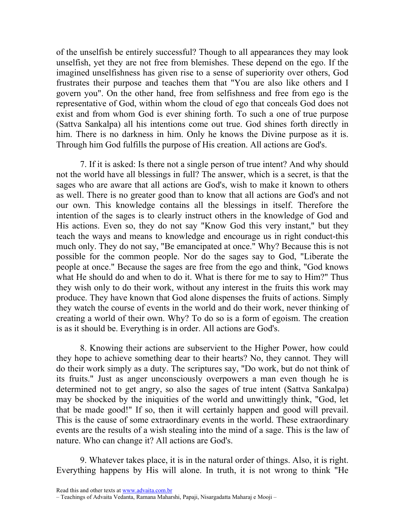of the unselfish be entirely successful? Though to all appearances they may look unselfish, yet they are not free from blemishes. These depend on the ego. If the imagined unselfishness has given rise to a sense of superiority over others, God frustrates their purpose and teaches them that "You are also like others and I govern you". On the other hand, free from selfishness and free from ego is the representative of God, within whom the cloud of ego that conceals God does not exist and from whom God is ever shining forth. To such a one of true purpose (Sattva Sankalpa) all his intentions come out true. God shines forth directly in him. There is no darkness in him. Only he knows the Divine purpose as it is. Through him God fulfills the purpose of His creation. All actions are God's.

7. If it is asked: Is there not a single person of true intent? And why should not the world have all blessings in full? The answer, which is a secret, is that the sages who are aware that all actions are God's, wish to make it known to others as well. There is no greater good than to know that all actions are God's and not our own. This knowledge contains all the blessings in itself. Therefore the intention of the sages is to clearly instruct others in the knowledge of God and His actions. Even so, they do not say "Know God this very instant," but they teach the ways and means to knowledge and encourage us in right conduct-this much only. They do not say, "Be emancipated at once." Why? Because this is not possible for the common people. Nor do the sages say to God, "Liberate the people at once." Because the sages are free from the ego and think, "God knows what He should do and when to do it. What is there for me to say to Him?" Thus they wish only to do their work, without any interest in the fruits this work may produce. They have known that God alone dispenses the fruits of actions. Simply they watch the course of events in the world and do their work, never thinking of creating a world of their own. Why? To do so is a form of egoism. The creation is as it should be. Everything is in order. All actions are God's.

8. Knowing their actions are subservient to the Higher Power, how could they hope to achieve something dear to their hearts? No, they cannot. They will do their work simply as a duty. The scriptures say, "Do work, but do not think of its fruits." Just as anger unconsciously overpowers a man even though he is determined not to get angry, so also the sages of true intent (Sattva Sankalpa) may be shocked by the iniquities of the world and unwittingly think, "God, let that be made good!" If so, then it will certainly happen and good will prevail. This is the cause of some extraordinary events in the world. These extraordinary events are the results of a wish stealing into the mind of a sage. This is the law of nature. Who can change it? All actions are God's.

9. Whatever takes place, it is in the natural order of things. Also, it is right. Everything happens by His will alone. In truth, it is not wrong to think "He

<sup>–</sup> Teachings of Advaita Vedanta, Ramana Maharshi, Papaji, Nisargadatta Maharaj e Mooji –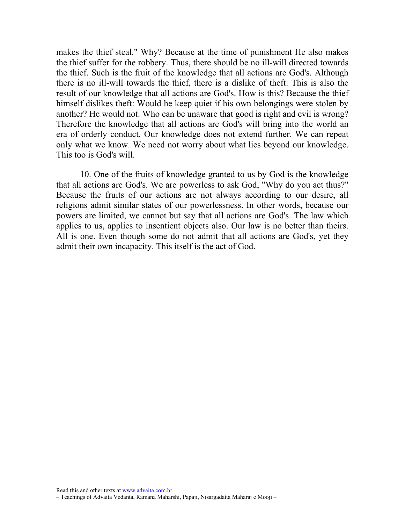makes the thief steal." Why? Because at the time of punishment He also makes the thief suffer for the robbery. Thus, there should be no ill-will directed towards the thief. Such is the fruit of the knowledge that all actions are God's. Although there is no ill-will towards the thief, there is a dislike of theft. This is also the result of our knowledge that all actions are God's. How is this? Because the thief himself dislikes theft: Would he keep quiet if his own belongings were stolen by another? He would not. Who can be unaware that good is right and evil is wrong? Therefore the knowledge that all actions are God's will bring into the world an era of orderly conduct. Our knowledge does not extend further. We can repeat only what we know. We need not worry about what lies beyond our knowledge. This too is God's will.

10. One of the fruits of knowledge granted to us by God is the knowledge that all actions are God's. We are powerless to ask God, "Why do you act thus?" Because the fruits of our actions are not always according to our desire, all religions admit similar states of our powerlessness. In other words, because our powers are limited, we cannot but say that all actions are God's. The law which applies to us, applies to insentient objects also. Our law is no better than theirs. All is one. Even though some do not admit that all actions are God's, yet they admit their own incapacity. This itself is the act of God.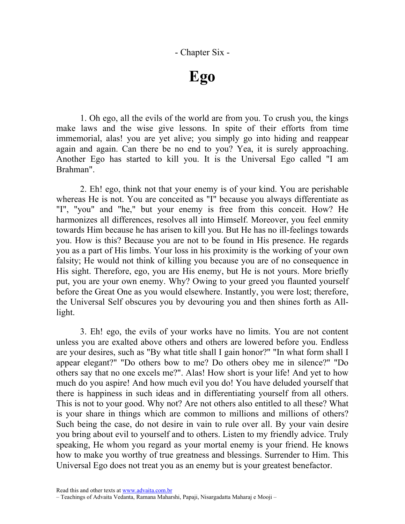#### Ego

1. Oh ego, all the evils of the world are from you. To crush you, the kings make laws and the wise give lessons. In spite of their efforts from time immemorial, alas! you are yet alive; you simply go into hiding and reappear again and again. Can there be no end to you? Yea, it is surely approaching. Another Ego has started to kill you. It is the Universal Ego called "I am Brahman".

2. Eh! ego, think not that your enemy is of your kind. You are perishable whereas He is not. You are conceited as "I" because you always differentiate as "I", "you" and "he," but your enemy is free from this conceit. How? He harmonizes all differences, resolves all into Himself. Moreover, you feel enmity towards Him because he has arisen to kill you. But He has no ill-feelings towards you. How is this? Because you are not to be found in His presence. He regards you as a part of His limbs. Your loss in his proximity is the working of your own falsity; He would not think of killing you because you are of no consequence in His sight. Therefore, ego, you are His enemy, but He is not yours. More briefly put, you are your own enemy. Why? Owing to your greed you flaunted yourself before the Great One as you would elsewhere. Instantly, you were lost; therefore, the Universal Self obscures you by devouring you and then shines forth as Alllight.

3. Eh! ego, the evils of your works have no limits. You are not content unless you are exalted above others and others are lowered before you. Endless are your desires, such as "By what title shall I gain honor?" "In what form shall I appear elegant?" "Do others bow to me? Do others obey me in silence?" "Do others say that no one excels me?". Alas! How short is your life! And yet to how much do you aspire! And how much evil you do! You have deluded yourself that there is happiness in such ideas and in differentiating yourself from all others. This is not to your good. Why not? Are not others also entitled to all these? What is your share in things which are common to millions and millions of others? Such being the case, do not desire in vain to rule over all. By your vain desire you bring about evil to yourself and to others. Listen to my friendly advice. Truly speaking, He whom you regard as your mortal enemy is your friend. He knows how to make you worthy of true greatness and blessings. Surrender to Him. This Universal Ego does not treat you as an enemy but is your greatest benefactor.

<sup>–</sup> Teachings of Advaita Vedanta, Ramana Maharshi, Papaji, Nisargadatta Maharaj e Mooji –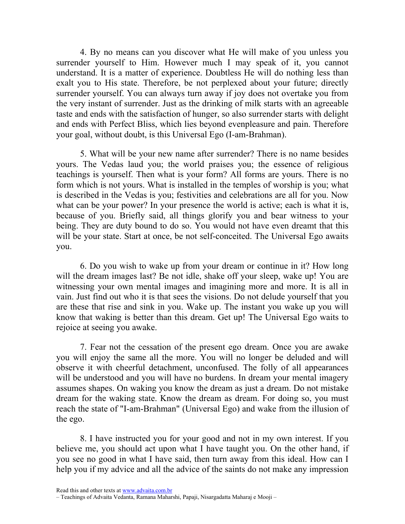4. By no means can you discover what He will make of you unless you surrender yourself to Him. However much I may speak of it, you cannot understand. It is a matter of experience. Doubtless He will do nothing less than exalt you to His state. Therefore, be not perplexed about your future; directly surrender yourself. You can always turn away if joy does not overtake you from the very instant of surrender. Just as the drinking of milk starts with an agreeable taste and ends with the satisfaction of hunger, so also surrender starts with delight and ends with Perfect Bliss, which lies beyond evenpleasure and pain. Therefore your goal, without doubt, is this Universal Ego (I-am-Brahman).

5. What will be your new name after surrender? There is no name besides yours. The Vedas laud you; the world praises you; the essence of religious teachings is yourself. Then what is your form? All forms are yours. There is no form which is not yours. What is installed in the temples of worship is you; what is described in the Vedas is you; festivities and celebrations are all for you. Now what can be your power? In your presence the world is active; each is what it is, because of you. Briefly said, all things glorify you and bear witness to your being. They are duty bound to do so. You would not have even dreamt that this will be your state. Start at once, be not self-conceited. The Universal Ego awaits you.

6. Do you wish to wake up from your dream or continue in it? How long will the dream images last? Be not idle, shake off your sleep, wake up! You are witnessing your own mental images and imagining more and more. It is all in vain. Just find out who it is that sees the visions. Do not delude yourself that you are these that rise and sink in you. Wake up. The instant you wake up you will know that waking is better than this dream. Get up! The Universal Ego waits to rejoice at seeing you awake.

7. Fear not the cessation of the present ego dream. Once you are awake you will enjoy the same all the more. You will no longer be deluded and will observe it with cheerful detachment, unconfused. The folly of all appearances will be understood and you will have no burdens. In dream your mental imagery assumes shapes. On waking you know the dream as just a dream. Do not mistake dream for the waking state. Know the dream as dream. For doing so, you must reach the state of "I-am-Brahman" (Universal Ego) and wake from the illusion of the ego.

8. I have instructed you for your good and not in my own interest. If you believe me, you should act upon what I have taught you. On the other hand, if you see no good in what I have said, then turn away from this ideal. How can I help you if my advice and all the advice of the saints do not make any impression

<sup>–</sup> Teachings of Advaita Vedanta, Ramana Maharshi, Papaji, Nisargadatta Maharaj e Mooji –